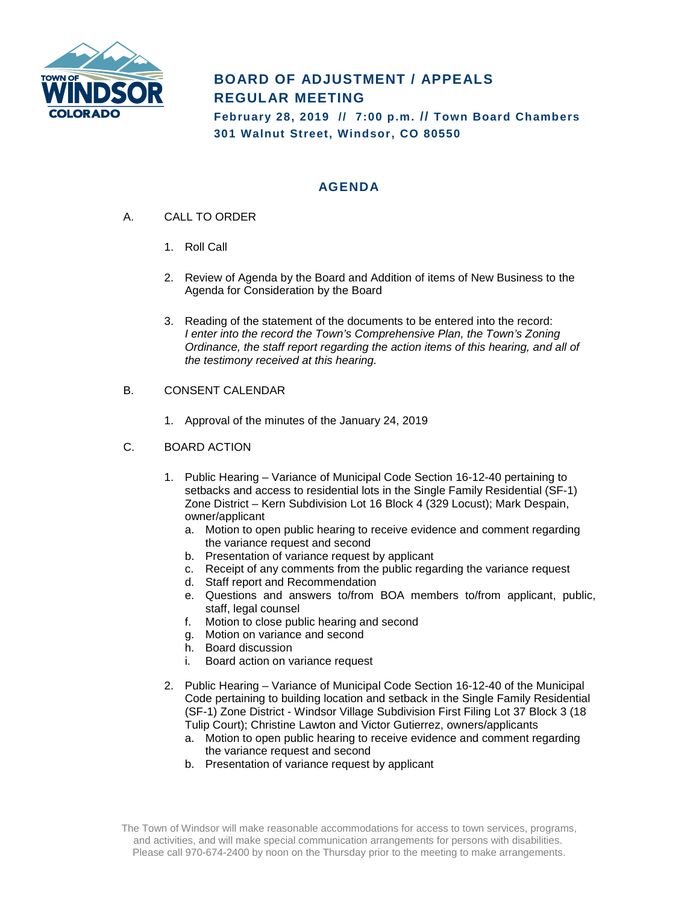

## **BOARD OF ADJUSTMENT / APPEALS REGULAR MEETING**

**February 28, 2019 // 7:00 p.m. // Town Board Chambers 301 Walnut Street, Windsor, CO 80550**

### **AGENDA**

- A. CALL TO ORDER
	- 1. Roll Call
	- 2. Review of Agenda by the Board and Addition of items of New Business to the Agenda for Consideration by the Board
	- 3. Reading of the statement of the documents to be entered into the record: *I enter into the record the Town's Comprehensive Plan, the Town's Zoning Ordinance, the staff report regarding the action items of this hearing, and all of the testimony received at this hearing.*
- B. CONSENT CALENDAR
	- 1. Approval of the minutes of the January 24, 2019
- C. BOARD ACTION
	- 1. Public Hearing Variance of Municipal Code Section 16-12-40 pertaining to setbacks and access to residential lots in the Single Family Residential (SF-1) Zone District – Kern Subdivision Lot 16 Block 4 (329 Locust); Mark Despain, owner/applicant
		- a. Motion to open public hearing to receive evidence and comment regarding the variance request and second
		- b. Presentation of variance request by applicant
		- c. Receipt of any comments from the public regarding the variance request
		- d. Staff report and Recommendation
		- e. Questions and answers to/from BOA members to/from applicant, public, staff, legal counsel
		- f. Motion to close public hearing and second
		- g. Motion on variance and second
		- h. Board discussion
		- i. Board action on variance request
	- 2. Public Hearing Variance of Municipal Code Section 16-12-40 of the Municipal Code pertaining to building location and setback in the Single Family Residential (SF-1) Zone District - Windsor Village Subdivision First Filing Lot 37 Block 3 (18 Tulip Court); Christine Lawton and Victor Gutierrez, owners/applicants
		- a. Motion to open public hearing to receive evidence and comment regarding the variance request and second
		- b. Presentation of variance request by applicant

The Town of Windsor will make reasonable accommodations for access to town services, programs, and activities, and will make special communication arrangements for persons with disabilities. Please call 970-674-2400 by noon on the Thursday prior to the meeting to make arrangements.